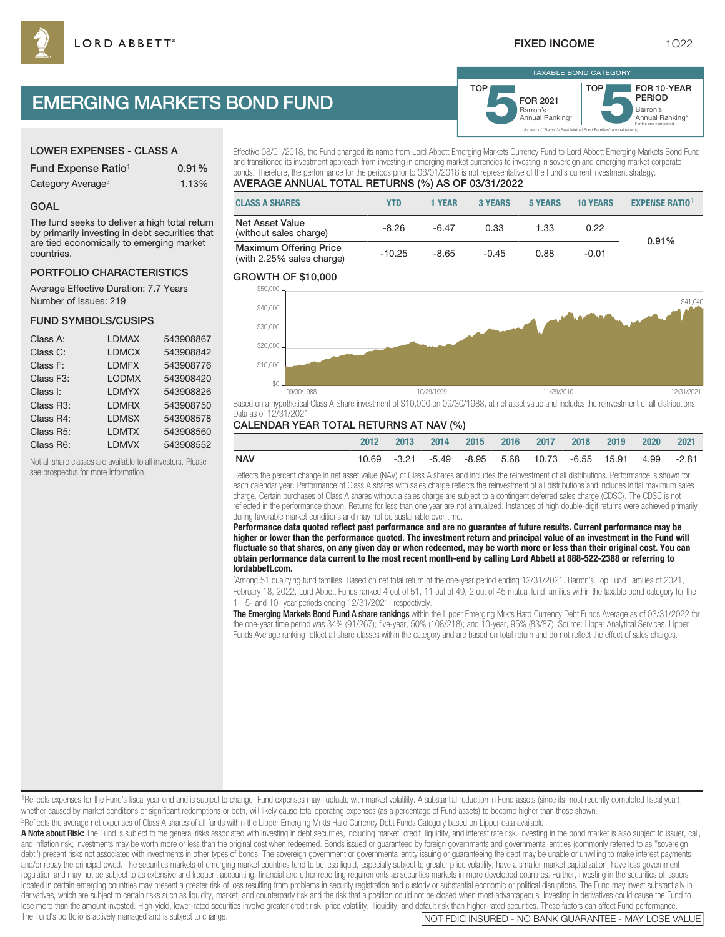As part of "Barron's Best Mutual Fund Families" annual ranking.

Barron's **5**Annual Ranking\* FOR 2021

TAXABLE BOND CATEGORY

**TOP** 

# EMERGING MARKETS BOND FUND

# LOWER EXPENSES - CLASS A

GOAL

countries.

Number of Issues: 219

FUND SYMBOLS/CUSIPS

see prospectus for more information.

| Fund Expense Ratio <sup>1</sup> | $0.91\%$ |
|---------------------------------|----------|
| Category Average <sup>2</sup>   | 1.13%    |

The fund seeks to deliver a high total return by primarily investing in debt securities that are tied economically to emerging market

PORTFOLIO CHARACTERISTICS Average Effective Duration: 7.7 Years

Class A: LDMAX 543908867 Class C: LDMCX 543908842 Class F: LDMFX 543908776 Class F3: LODMX 543908420 Class I: LDMYX 543908826 Class R3: LDMRX 543908750 Class R4: LDMSX 543908578 Class R5: LDMTX 543908560 Class R6: LDMVX 543908552 Not all share classes are available to all investors. Please

Effective 08/01/2018, the Fund changed its name from Lord Abbett Emerging Markets Currency Fund to Lord Abbett Emerging Markets Bond Fund and transitioned its investment approach from investing in emerging market currencies to investing in sovereign and emerging market corporate bonds. Therefore, the performance for the periods prior to 08/01/2018 is not representative of the Fund's current investment strategy.

TOP

# AVERAGE ANNUAL TOTAL RETURNS (%) AS OF 03/31/2022

# **CLASS A SHARES YTD 1 YEAR 3 YEARS 5 YEARS 10 YEARS EXPENSE RATIO**<sup>1</sup> Net Asset Value Net Asset value<br>
(without sales charge)  $-8.26$   $-6.47$  0.33 1.33 0.22 Maximum Offering Price Maximum Olienng Price<br>(with 2.25% sales charge)  $-10.25$   $-8.65$   $-0.45$  0.88  $-0.01$ 0.91%

# GROWTH OF \$10,000



Based on a hypothetical Class A Share investment of \$10,000 on 09/30/1988, at net asset value and includes the reinvestment of all distributions. Data as of 12/31/2021.

# CALENDAR YEAR TOTAL RETURNS AT NAV (%)

|     | 2012 | 2013 | 2014 |  | 2015 2016 2017 2018                                       | 2019 | 2020 2021 |  |
|-----|------|------|------|--|-----------------------------------------------------------|------|-----------|--|
| NAV |      |      |      |  | 10.69 -3.21 -5.49 -8.95 5.68 10.73 -6.55 15.91 4.99 -2.81 |      |           |  |
|     |      |      |      |  |                                                           |      |           |  |

Reflects the percent change in net asset value (NAV) of Class A shares and includes the reinvestment of all distributions. Performance is shown for each calendar year. Performance of Class A shares with sales charge reflects the reinvestment of all distributions and includes initial maximum sales charge. Certain purchases of Class A shares without a sales charge are subject to a contingent deferred sales charge (CDSC). The CDSC is not reflected in the performance shown. Returns for less than one year are not annualized. Instances of high double-digit returns were achieved primarily during favorable market conditions and may not be sustainable over time.

**Performance data quoted reflect past performance and are no guarantee of future results. Current performance may be higher or lower than the performance quoted. The investment return and principal value of an investment in the Fund will fluctuate so that shares, on any given day or when redeemed, may be worth more or less than their original cost. You can obtain performance data current to the most recent month-end by calling Lord Abbett at 888-522-2388 or referring to lordabbett.com.**

\* Among 51 qualifying fund families. Based on net total return of the one-year period ending 12/31/2021. Barron's Top Fund Families of 2021, February 18, 2022, Lord Abbett Funds ranked 4 out of 51, 11 out of 49, 2 out of 45 mutual fund families within the taxable bond category for the 1-, 5- and 10- year periods ending 12/31/2021, respectively.

The Emerging Markets Bond Fund A share rankings within the Lipper Emerging Mrkts Hard Currency Debt Funds Average as of 03/31/2022 for the one-year time period was 34% (91/267); five-year, 50% (108/218); and 10-year, 95% (83/87). Source: Lipper Analytical Services. Lipper Funds Average ranking reflect all share classes within the category and are based on total return and do not reflect the effect of sales charges.

<sup>1</sup>Reflects expenses for the Fund's fiscal year end and is subject to change. Fund expenses may fluctuate with market volatility. A substantial reduction in Fund assets (since its most recently completed fiscal year), whether caused by market conditions or significant redemptions or both, will likely cause total operating expenses (as a percentage of Fund assets) to become higher than those shown.

2Reflects the average net expenses of Class A shares of all funds within the Lipper Emerging Mrkts Hard Currency Debt Funds Category based on Lipper data available.

A Note about Risk: The Fund is subject to the general risks associated with investing in debt securities, including market, credit, liquidity, and interest rate risk. Investing in the bond market is also subject to issuer, and inflation risk; investments may be worth more or less than the original cost when redeemed. Bonds issued or guaranteed by foreign governments and governmental entities (commonly referred to as "sovereign debt") present risks not associated with investments in other types of bonds. The sovereign government or governmental entity issuing or guaranteeing the debt may be unable or unwilling to make interest payments and/or repay the principal owed. The securities markets of emerging market countries tend to be less liquid, especially subject to greater price volatility, have a smaller market capitalization, have less government regulation and may not be subject to as extensive and frequent accounting, financial and other reporting requirements as securities markets in more developed countries. Further, investing in the securities of issuers located in certain emerging countries may present a greater risk of loss resulting from problems in security registration and custody or substantial economic or political disruptions. The Fund may invest substantially in derivatives, which are subject to certain risks such as liquidity, market, and counterparty risk and the risk that a position could not be closed when most advantageous. Investing in derivatives could cause the Fund to lose more than the amount invested. High-yield, lower-rated securities involve greater credit risk, price volatility, illiquidity, and default risk than higher-rated securities. These factors can affect Fund performance.



TEGORY<br> **FOR 10-YEAR<br>
PERIOD**<br> **Barron's**<br> **Annual Ranking\*** FOR 10-YEAR PERIOD

For the one-year period.